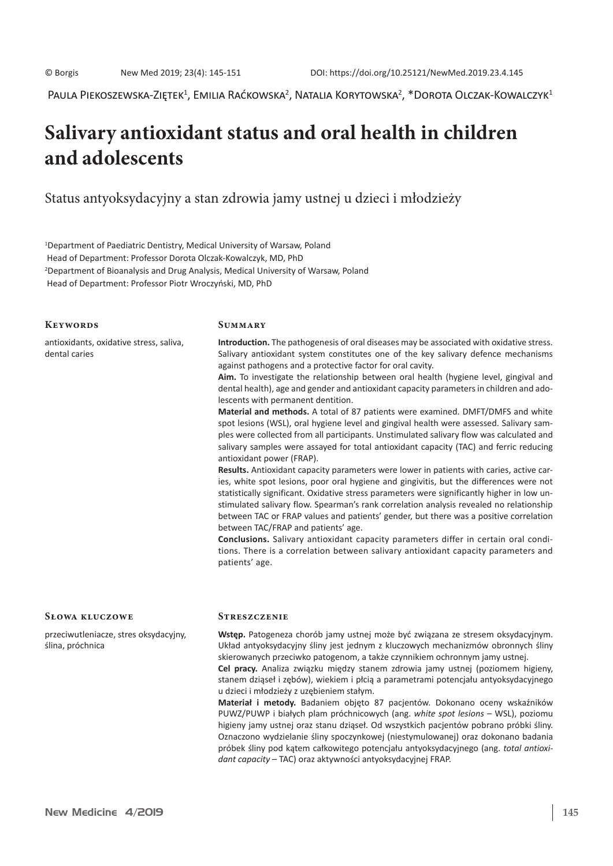Paula Piekoszewska-Ziętek $^1$ , Emilia Raćkowska $^2$ , Natalia Korytowska $^2$ ,  $^*$ Dorota Olczak-Kowalczyk $^1$ 

# **Salivary antioxidant status and oral health in children and adolescents**

Status antyoksydacyjny a stan zdrowia jamy ustnej u dzieci i młodzieży

1 Department of Paediatric Dentistry, Medical University of Warsaw, Poland Head of Department: Professor Dorota Olczak-Kowalczyk, MD, PhD 2 Department of Bioanalysis and Drug Analysis, Medical University of Warsaw, Poland Head of Department: Professor Piotr Wroczyński, MD, PhD

## **Keywords**

**Summary**

antioxidants, oxidative stress, saliva, dental caries

**Introduction.** The pathogenesis of oral diseases may be associated with oxidative stress. Salivary antioxidant system constitutes one of the key salivary defence mechanisms against pathogens and a protective factor for oral cavity.

**Aim.** To investigate the relationship between oral health (hygiene level, gingival and dental health), age and gender and antioxidant capacity parameters in children and adolescents with permanent dentition.

**Material and methods.** A total of 87 patients were examined. DMFT/DMFS and white spot lesions (WSL), oral hygiene level and gingival health were assessed. Salivary samples were collected from all participants. Unstimulated salivary flow was calculated and salivary samples were assayed for total antioxidant capacity (TAC) and ferric reducing antioxidant power (FRAP).

**Results.** Antioxidant capacity parameters were lower in patients with caries, active caries, white spot lesions, poor oral hygiene and gingivitis, but the differences were not statistically significant. Oxidative stress parameters were significantly higher in low unstimulated salivary flow. Spearman's rank correlation analysis revealed no relationship between TAC or FRAP values and patients' gender, but there was a positive correlation between TAC/FRAP and patients' age.

**Conclusions.** Salivary antioxidant capacity parameters differ in certain oral conditions. There is a correlation between salivary antioxidant capacity parameters and patients' age.

#### **Słowa kluczowe**

przeciwutleniacze, stres oksydacyjny, ślina, próchnica

#### **Streszczenie**

**Wstęp.** Patogeneza chorób jamy ustnej może być związana ze stresem oksydacyjnym. Układ antyoksydacyjny śliny jest jednym z kluczowych mechanizmów obronnych śliny skierowanych przeciwko patogenom, a także czynnikiem ochronnym jamy ustnej.

**Cel pracy.** Analiza związku między stanem zdrowia jamy ustnej (poziomem higieny, stanem dziąseł i zębów), wiekiem i płcią a parametrami potencjału antyoksydacyjnego u dzieci i młodzieży z uzębieniem stałym.

**Materiał i metody.** Badaniem objęto 87 pacjentów. Dokonano oceny wskaźników PUWZ/PUWP i białych plam próchnicowych (ang. *white spot lesions* – WSL), poziomu higieny jamy ustnej oraz stanu dziąseł. Od wszystkich pacjentów pobrano próbki śliny. Oznaczono wydzielanie śliny spoczynkowej (niestymulowanej) oraz dokonano badania próbek śliny pod kątem całkowitego potencjału antyoksydacyjnego (ang. *total antioxidant capacity* – TAC) oraz aktywności antyoksydacyjnej FRAP.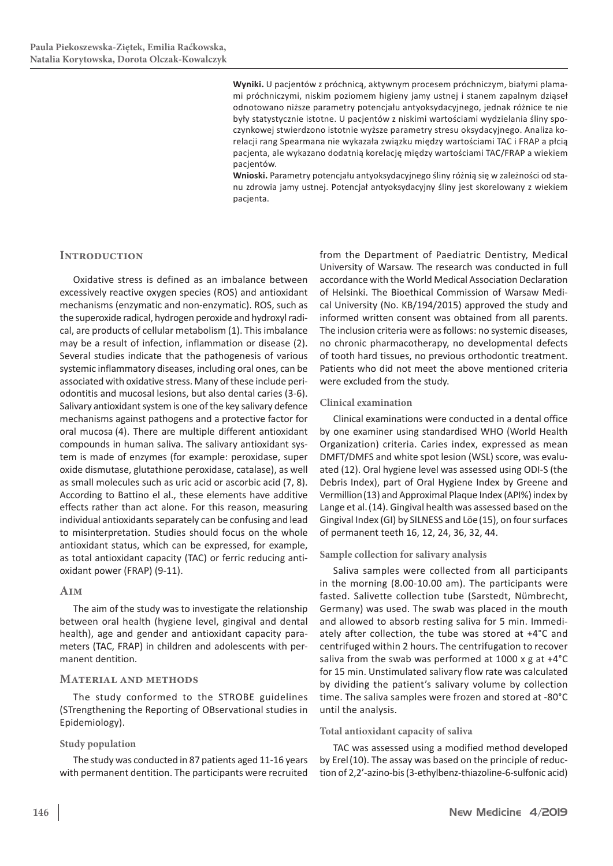**Wyniki.** U pacjentów z próchnicą, aktywnym procesem próchniczym, białymi plamami próchniczymi, niskim poziomem higieny jamy ustnej i stanem zapalnym dziąseł odnotowano niższe parametry potencjału antyoksydacyjnego, jednak różnice te nie były statystycznie istotne. U pacjentów z niskimi wartościami wydzielania śliny spoczynkowej stwierdzono istotnie wyższe parametry stresu oksydacyjnego. Analiza korelacji rang Spearmana nie wykazała związku między wartościami TAC i FRAP a płcią pacjenta, ale wykazano dodatnią korelację między wartościami TAC/FRAP a wiekiem pacjentów.

**Wnioski.** Parametry potencjału antyoksydacyjnego śliny różnią się w zależności od stanu zdrowia jamy ustnej. Potencjał antyoksydacyjny śliny jest skorelowany z wiekiem pacjenta.

## **INTRODUCTION**

Oxidative stress is defined as an imbalance between excessively reactive oxygen species (ROS) and antioxidant mechanisms (enzymatic and non-enzymatic). ROS, such as the superoxide radical, hydrogen peroxide and hydroxyl radical, are products of cellular metabolism (1). This imbalance may be a result of infection, inflammation or disease (2). Several studies indicate that the pathogenesis of various systemic inflammatory diseases, including oral ones, can be associated with oxidative stress. Many of these include periodontitis and mucosal lesions, but also dental caries (3-6). Salivary antioxidant system is one of the key salivary defence mechanisms against pathogens and a protective factor for oral mucosa (4). There are multiple different antioxidant compounds in human saliva. The salivary antioxidant system is made of enzymes (for example: peroxidase, super oxide dismutase, glutathione peroxidase, catalase), as well as small molecules such as uric acid or ascorbic acid (7, 8). According to Battino el al., these elements have additive effects rather than act alone. For this reason, measuring individual antioxidants separately can be confusing and lead to misinterpretation. Studies should focus on the whole antioxidant status, which can be expressed, for example, as total antioxidant capacity (TAC) or ferric reducing antioxidant power (FRAP) (9-11).

## **Aim**

The aim of the study was to investigate the relationship between oral health (hygiene level, gingival and dental health), age and gender and antioxidant capacity parameters (TAC, FRAP) in children and adolescents with permanent dentition.

## **Material and methods**

The study conformed to the STROBE guidelines (STrengthening the Reporting of OBservational studies in Epidemiology).

## **Study population**

The study was conducted in 87 patients aged 11-16 years with permanent dentition. The participants were recruited

from the Department of Paediatric Dentistry, Medical University of Warsaw. The research was conducted in full accordance with the World Medical Association Declaration of Helsinki. The Bioethical Commission of Warsaw Medical University (No. KB/194/2015) approved the study and informed written consent was obtained from all parents. The inclusion criteria were as follows: no systemic diseases, no chronic pharmacotherapy, no developmental defects of tooth hard tissues, no previous orthodontic treatment. Patients who did not meet the above mentioned criteria were excluded from the study.

## **Clinical examination**

Clinical examinations were conducted in a dental office by one examiner using standardised WHO (World Health Organization) criteria. Caries index, expressed as mean DMFT/DMFS and white spot lesion (WSL) score, was evaluated (12). Oral hygiene level was assessed using ODI-S (the Debris Index), part of Oral Hygiene Index by Greene and Vermillion(13) and Approximal Plaque Index (API%) index by Lange et al.(14). Gingival health was assessed based on the Gingival Index (GI) by SILNESS and Löe(15), on four surfaces of permanent teeth 16, 12, 24, 36, 32, 44.

## **Sample collection for salivary analysis**

Saliva samples were collected from all participants in the morning (8.00-10.00 am). The participants were fasted. Salivette collection tube (Sarstedt, Nümbrecht, Germany) was used. The swab was placed in the mouth and allowed to absorb resting saliva for 5 min. Immediately after collection, the tube was stored at +4°C and centrifuged within 2 hours. The centrifugation to recover saliva from the swab was performed at 1000 x g at +4°C for 15 min. Unstimulated salivary flow rate was calculated by dividing the patient's salivary volume by collection time. The saliva samples were frozen and stored at -80°C until the analysis.

## **Total antioxidant capacity of saliva**

TAC was assessed using a modified method developed by Erel(10). The assay was based on the principle of reduction of 2,2'-azino-bis(3-ethylbenz-thiazoline-6-sulfonic acid)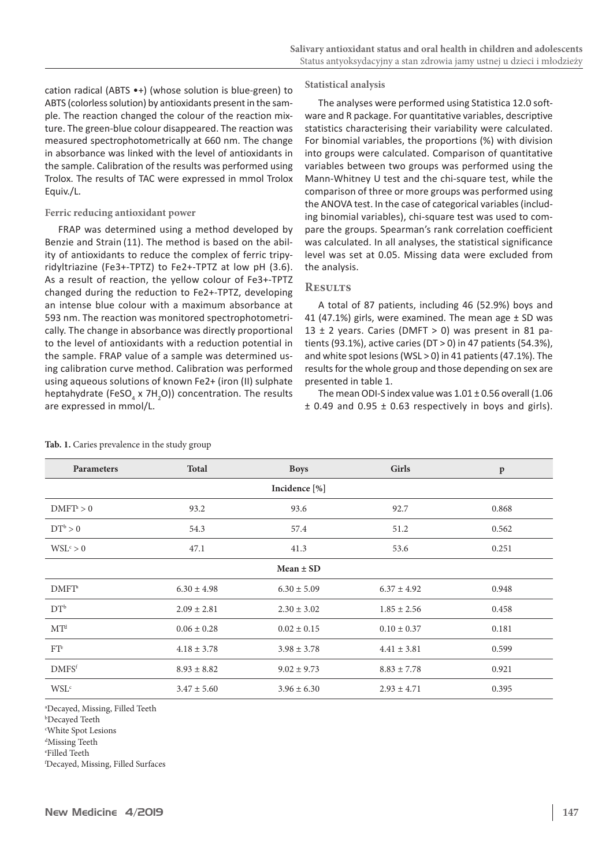cation radical (ABTS •+) (whose solution is blue-green) to ABTS (colorless solution) by antioxidants present in the sample. The reaction changed the colour of the reaction mixture. The green-blue colour disappeared. The reaction was measured spectrophotometrically at 660 nm. The change in absorbance was linked with the level of antioxidants in the sample. Calibration of the results was performed using Trolox. The results of TAC were expressed in mmol Trolox Equiv./L.

## **Ferric reducing antioxidant power**

FRAP was determined using a method developed by Benzie and Strain (11). The method is based on the ability of antioxidants to reduce the complex of ferric tripyridyltriazine (Fe3+-TPTZ) to Fe2+-TPTZ at low pH (3.6). As a result of reaction, the yellow colour of Fe3+-TPTZ changed during the reduction to Fe2+-TPTZ, developing an intense blue colour with a maximum absorbance at 593 nm. The reaction was monitored spectrophotometrically. The change in absorbance was directly proportional to the level of antioxidants with a reduction potential in the sample. FRAP value of a sample was determined using calibration curve method. Calibration was performed using aqueous solutions of known Fe2+ (iron (II) sulphate heptahydrate (FeSO<sub>4</sub> x 7H<sub>2</sub>O)) concentration. The results are expressed in mmol/L.

#### **Statistical analysis**

The analyses were performed using Statistica 12.0 software and R package. For quantitative variables, descriptive statistics characterising their variability were calculated. For binomial variables, the proportions (%) with division into groups were calculated. Comparison of quantitative variables between two groups was performed using the Mann-Whitney U test and the chi-square test, while the comparison of three or more groups was performed using the ANOVA test. In the case of categorical variables(including binomial variables), chi-square test was used to compare the groups. Spearman's rank correlation coefficient was calculated. In all analyses, the statistical significance level was set at 0.05. Missing data were excluded from the analysis.

### **Results**

A total of 87 patients, including 46 (52.9%) boys and 41 (47.1%) girls, were examined. The mean age  $\pm$  SD was 13  $\pm$  2 years. Caries (DMFT > 0) was present in 81 patients (93.1%), active caries (DT  $>$  0) in 47 patients (54.3%), and white spot lesions (WSL > 0) in 41 patients (47.1%). The results for the whole group and those depending on sex are presented in table 1.

The mean ODI-S index value was  $1.01 \pm 0.56$  overall (1.06  $\pm$  0.49 and 0.95  $\pm$  0.63 respectively in boys and girls).

| Parameters        | <b>Total</b>    | <b>Boys</b>     | <b>Girls</b>    | $\mathbf{p}$ |  |  |  |
|-------------------|-----------------|-----------------|-----------------|--------------|--|--|--|
| Incidence [%]     |                 |                 |                 |              |  |  |  |
| $DMFT^a > 0$      | 93.2            | 93.6            | 92.7            | 0.868        |  |  |  |
| $DT^b > 0$        | 54.3            | 57.4            | 51.2            | 0.562        |  |  |  |
| $WSL^c > 0$       | 47.1            | 41.3            | 53.6            | 0.251        |  |  |  |
| $Mean \pm SD$     |                 |                 |                 |              |  |  |  |
| DMFT <sup>a</sup> | $6.30 \pm 4.98$ | $6.30 \pm 5.09$ | $6.37 \pm 4.92$ | 0.948        |  |  |  |
| $DT^b$            | $2.09 \pm 2.81$ | $2.30 \pm 3.02$ | $1.85 \pm 2.56$ | 0.458        |  |  |  |
| MT <sup>d</sup>   | $0.06 \pm 0.28$ | $0.02 \pm 0.15$ | $0.10 \pm 0.37$ | 0.181        |  |  |  |
| $FT^e$            | $4.18 \pm 3.78$ | $3.98 \pm 3.78$ | $4.41 \pm 3.81$ | 0.599        |  |  |  |
| DMFS <sup>f</sup> | $8.93 \pm 8.82$ | $9.02 \pm 9.73$ | $8.83 \pm 7.78$ | 0.921        |  |  |  |
| $WSL^c$           | $3.47 \pm 5.60$ | $3.96 \pm 6.30$ | $2.93 \pm 4.71$ | 0.395        |  |  |  |

#### **Tab. 1.** Caries prevalence in the study group

a Decayed, Missing, Filled Teeth

b Decayed Teeth

c White Spot Lesions

d Missing Teeth

e Filled Teeth

f Decayed, Missing, Filled Surfaces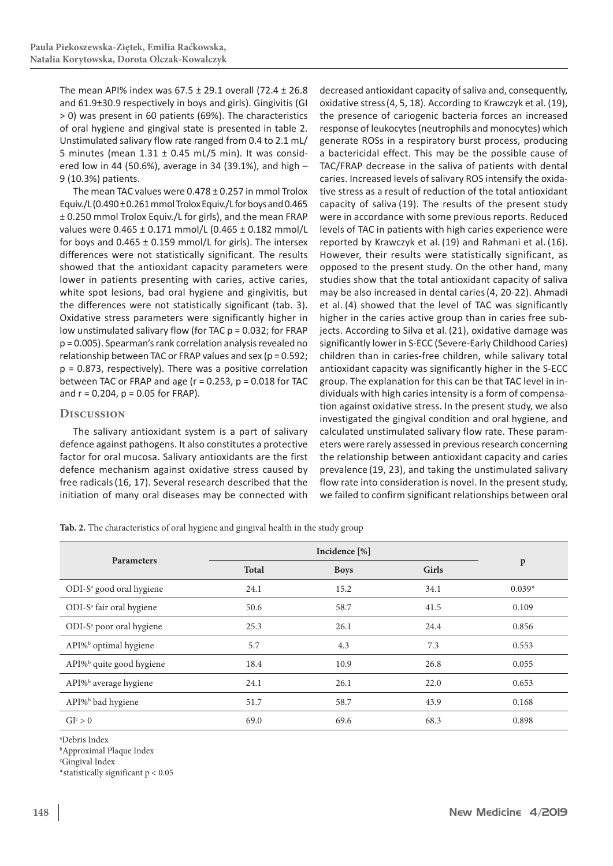The mean API% index was 67.5 ± 29.1 overall (72.4 ± 26.8 and 61.9±30.9 respectively in boys and girls). Gingivitis (GI > 0) was present in 60 patients (69%). The characteristics of oral hygiene and gingival state is presented in table 2. Unstimulated salivary flow rate ranged from 0.4 to 2.1 mL/ 5 minutes (mean  $1.31 \pm 0.45$  mL/5 min). It was considered low in 44 (50.6%), average in 34 (39.1%), and high – 9 (10.3%) patients.

The mean TAC values were 0.478 ± 0.257 in mmol Trolox Equiv./L(0.490 ± 0.261 mmol Trolox Equiv./L for boys and 0.465 ± 0.250 mmol Trolox Equiv./L for girls), and the mean FRAP values were 0.465 ± 0.171 mmol/L (0.465 ± 0.182 mmol/L for boys and  $0.465 \pm 0.159$  mmol/L for girls). The intersex differences were not statistically significant. The results showed that the antioxidant capacity parameters were lower in patients presenting with caries, active caries, white spot lesions, bad oral hygiene and gingivitis, but the differences were not statistically significant (tab. 3). Oxidative stress parameters were significantly higher in low unstimulated salivary flow (for TAC  $p = 0.032$ ; for FRAP p = 0.005). Spearman's rank correlation analysis revealed no relationship between TAC or FRAP values and sex (p = 0.592; p = 0.873, respectively). There was a positive correlation between TAC or FRAP and age ( $r = 0.253$ ,  $p = 0.018$  for TAC and  $r = 0.204$ ,  $p = 0.05$  for FRAP).

## **Discussion**

The salivary antioxidant system is a part of salivary defence against pathogens. It also constitutes a protective factor for oral mucosa. Salivary antioxidants are the first defence mechanism against oxidative stress caused by free radicals(16, 17). Several research described that the initiation of many oral diseases may be connected with

decreased antioxidant capacity of saliva and, consequently, oxidative stress(4, 5, 18). According to Krawczyk et al. (19), the presence of cariogenic bacteria forces an increased response of leukocytes(neutrophils and monocytes) which generate ROSs in a respiratory burst process, producing a bactericidal effect. This may be the possible cause of TAC/FRAP decrease in the saliva of patients with dental caries. Increased levels of salivary ROS intensify the oxidative stress as a result of reduction of the total antioxidant capacity of saliva (19). The results of the present study were in accordance with some previous reports. Reduced levels of TAC in patients with high caries experience were reported by Krawczyk et al. (19) and Rahmani et al. (16). However, their results were statistically significant, as opposed to the present study. On the other hand, many studies show that the total antioxidant capacity of saliva may be also increased in dental caries(4, 20-22). Ahmadi et al. (4) showed that the level of TAC was significantly higher in the caries active group than in caries free subjects. According to Silva et al.(21), oxidative damage was significantly lower in S-ECC (Severe-Early Childhood Caries) children than in caries-free children, while salivary total antioxidant capacity was significantly higher in the S-ECC group. The explanation for this can be that TAC level in individuals with high caries intensity is a form of compensation against oxidative stress. In the present study, we also investigated the gingival condition and oral hygiene, and calculated unstimulated salivary flow rate. These parameters were rarely assessed in previous research concerning the relationship between antioxidant capacity and caries prevalence (19, 23), and taking the unstimulated salivary flow rate into consideration is novel. In the present study, we failed to confirm significant relationships between oral

**Tab. 2.** The characteristics of oral hygiene and gingival health in the study group

| <b>Parameters</b>                    | <b>Total</b> | <b>Boys</b> | Girls | $\mathbf{p}$ |  |
|--------------------------------------|--------------|-------------|-------|--------------|--|
| ODI-S <sup>a</sup> good oral hygiene | 24.1         | 15.2        | 34.1  | $0.039*$     |  |
| ODI-S <sup>a</sup> fair oral hygiene | 50.6         | 58.7        | 41.5  | 0.109        |  |
| ODI-S <sup>a</sup> poor oral hygiene | 25.3         | 26.1        | 24.4  | 0.856        |  |
| API% <sup>b</sup> optimal hygiene    | 5.7          | 4.3         | 7.3   | 0.553        |  |
| API% <sup>b</sup> quite good hygiene | 18.4         | 10.9        | 26.8  | 0.055        |  |
| API% <sup>b</sup> average hygiene    | 24.1         | 26.1        | 22.0  | 0.653        |  |
| API% <sup>b</sup> bad hygiene        | 51.7         | 58.7        | 43.9  | 0.168        |  |
| GI <sup>c</sup> > 0                  | 69.0         | 69.6        | 68.3  | 0.898        |  |

a Debris Index

b Approximal Plaque Index

c Gingival Index

\*statistically significant p < 0.05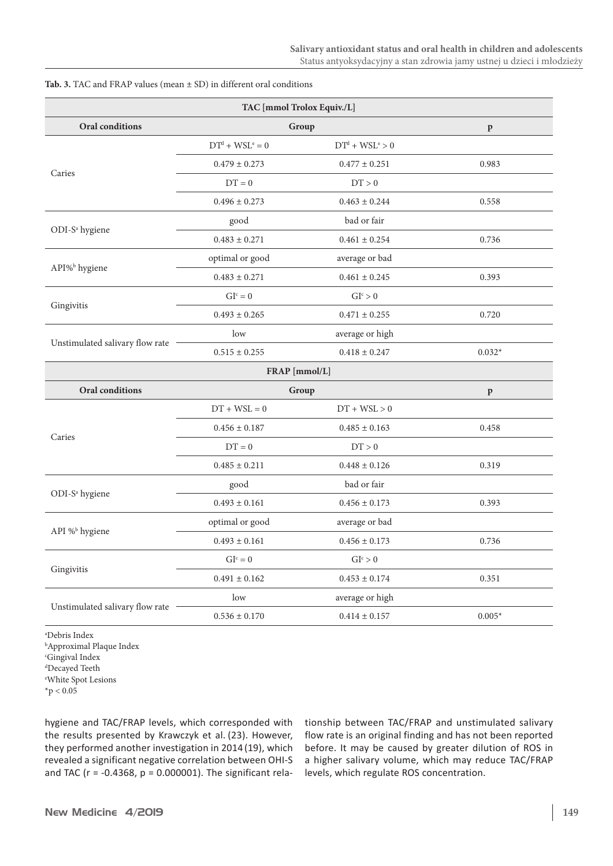| TAC [mmol Trolox Equiv./L]      |                   |                     |              |  |  |  |  |
|---------------------------------|-------------------|---------------------|--------------|--|--|--|--|
| Oral conditions                 | Group             | $\mathbf{p}$        |              |  |  |  |  |
|                                 | $DTd + WSLe = 0$  | $DTd + WSLe > 0$    |              |  |  |  |  |
| Caries                          | $0.479 \pm 0.273$ | $0.477 \pm 0.251$   | 0.983        |  |  |  |  |
|                                 | $DT = 0$          | DT > 0              |              |  |  |  |  |
|                                 | $0.496 \pm 0.273$ | $0.463 \pm 0.244$   | 0.558        |  |  |  |  |
| ODI-S <sup>a</sup> hygiene      | good              | bad or fair         |              |  |  |  |  |
|                                 | $0.483 \pm 0.271$ | $0.461 \pm 0.254$   | 0.736        |  |  |  |  |
| API% <sup>b</sup> hygiene       | optimal or good   | average or bad      |              |  |  |  |  |
|                                 | $0.483 \pm 0.271$ | $0.461 \pm 0.245$   | 0.393        |  |  |  |  |
|                                 | $GIc = 0$         | GI <sup>c</sup> > 0 |              |  |  |  |  |
| Gingivitis                      | $0.493 \pm 0.265$ | $0.471 \pm 0.255$   | 0.720        |  |  |  |  |
|                                 | low               | average or high     |              |  |  |  |  |
| Unstimulated salivary flow rate | $0.515 \pm 0.255$ | $0.418 \pm 0.247$   | $0.032*$     |  |  |  |  |
| FRAP [mmol/L]                   |                   |                     |              |  |  |  |  |
| <b>Oral conditions</b>          | Group             |                     | $\, {\bf p}$ |  |  |  |  |
|                                 | $DT + WSL = 0$    | $DT + WSL > 0$      |              |  |  |  |  |
|                                 | $0.456 \pm 0.187$ | $0.485 \pm 0.163$   | 0.458        |  |  |  |  |
| Caries                          | $\mathrm{DT}=0$   | DT > 0              |              |  |  |  |  |
|                                 | $0.485 \pm 0.211$ | $0.448 \pm 0.126$   | 0.319        |  |  |  |  |
|                                 | good              | bad or fair         |              |  |  |  |  |
| ODI-S <sup>a</sup> hygiene      | $0.493 \pm 0.161$ | $0.456 \pm 0.173$   | 0.393        |  |  |  |  |
|                                 | optimal or good   | average or bad      |              |  |  |  |  |
| API % <sup>b</sup> hygiene      | $0.493 \pm 0.161$ | $0.456 \pm 0.173$   | 0.736        |  |  |  |  |
|                                 | $GIc = 0$         | GI <sup>c</sup> > 0 |              |  |  |  |  |
| Gingivitis                      | $0.491 \pm 0.162$ | $0.453 \pm 0.174$   | 0.351        |  |  |  |  |
|                                 | low               | average or high     |              |  |  |  |  |
| Unstimulated salivary flow rate | $0.536 \pm 0.170$ | $0.414 \pm 0.157$   | $0.005*$     |  |  |  |  |

## **Tab. 3.** TAC and FRAP values (mean ± SD) in different oral conditions

a Debris Index b Approximal Plaque Index c Gingival Index d Decayed Teeth e White Spot Lesions

 $*$ p < 0.05

hygiene and TAC/FRAP levels, which corresponded with the results presented by Krawczyk et al. (23). However, they performed another investigation in 2014 (19), which revealed a significant negative correlation between OHI-S and TAC ( $r = -0.4368$ ,  $p = 0.000001$ ). The significant relationship between TAC/FRAP and unstimulated salivary flow rate is an original finding and has not been reported before. It may be caused by greater dilution of ROS in a higher salivary volume, which may reduce TAC/FRAP levels, which regulate ROS concentration.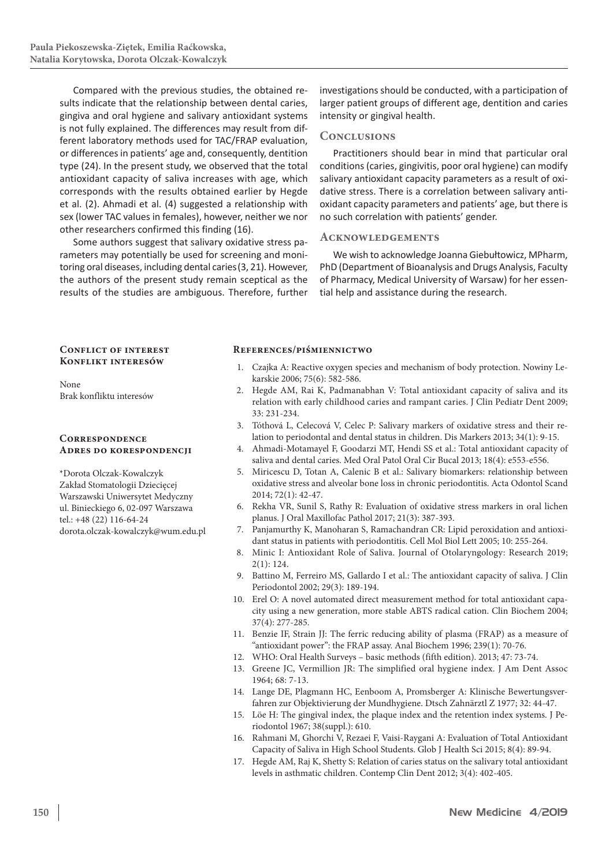Compared with the previous studies, the obtained results indicate that the relationship between dental caries, gingiva and oral hygiene and salivary antioxidant systems is not fully explained. The differences may result from different laboratory methods used for TAC/FRAP evaluation, or differences in patients' age and, consequently, dentition type (24). In the present study, we observed that the total antioxidant capacity of saliva increases with age, which corresponds with the results obtained earlier by Hegde et al. (2). Ahmadi et al. (4) suggested a relationship with sex (lower TAC values in females), however, neither we nor other researchers confirmed this finding (16).

Some authors suggest that salivary oxidative stress parameters may potentially be used for screening and monitoring oral diseases, including dental caries(3, 21). However, the authors of the present study remain sceptical as the results of the studies are ambiguous. Therefore, further

investigations should be conducted, with a participation of larger patient groups of different age, dentition and caries intensity or gingival health.

## **Conclusions**

Practitioners should bear in mind that particular oral conditions (caries, gingivitis, poor oral hygiene) can modify salivary antioxidant capacity parameters as a result of oxidative stress. There is a correlation between salivary antioxidant capacity parameters and patients' age, but there is no such correlation with patients' gender.

## **Acknowledgements**

We wish to acknowledge Joanna Giebułtowicz, MPharm, PhD (Department of Bioanalysis and Drugs Analysis, Faculty of Pharmacy, Medical University of Warsaw) for her essential help and assistance during the research.

## **Conflict of interest Konflikt interesów**

None Brak konfliktu interesów

## **Correspondence Adres do korespondencji**

\*Dorota Olczak-Kowalczyk Zakład Stomatologii Dziecięcej Warszawski Uniwersytet Medyczny ul. Binieckiego 6, 02-097 Warszawa tel.: +48 (22) 116-64-24 dorota.olczak-kowalczyk@wum.edu.pl

## **References/piśmiennictwo**

- 1. Czajka A: Reactive oxygen species and mechanism of body protection. Nowiny Lekarskie 2006; 75(6): 582-586.
- 2. Hegde AM, Rai K, Padmanabhan V: Total antioxidant capacity of saliva and its relation with early childhood caries and rampant caries. J Clin Pediatr Dent 2009; 33: 231-234.
- 3. Tóthová L, Celecová V, Celec P: Salivary markers of oxidative stress and their relation to periodontal and dental status in children. Dis Markers 2013; 34(1): 9-15.
- 4. Ahmadi-Motamayel F, Goodarzi MT, Hendi SS et al.: Total antioxidant capacity of saliva and dental caries. Med Oral Patol Oral Cir Bucal 2013; 18(4): e553-e556.
- 5. Miricescu D, Totan A, Calenic B et al.: Salivary biomarkers: relationship between oxidative stress and alveolar bone loss in chronic periodontitis. Acta Odontol Scand 2014; 72(1): 42-47.
- 6. Rekha VR, Sunil S, Rathy R: Evaluation of oxidative stress markers in oral lichen planus. J Oral Maxillofac Pathol 2017; 21(3): 387-393.
- 7. Panjamurthy K, Manoharan S, Ramachandran CR: Lipid peroxidation and antioxidant status in patients with periodontitis. Cell Mol Biol Lett 2005; 10: 255-264.
- 8. Minic I: Antioxidant Role of Saliva. Journal of Otolaryngology: Research 2019; 2(1): 124.
- 9. Battino M, Ferreiro MS, Gallardo I et al.: The antioxidant capacity of saliva. J Clin Periodontol 2002; 29(3): 189-194.
- 10. Erel O: A novel automated direct measurement method for total antioxidant capacity using a new generation, more stable ABTS radical cation. Clin Biochem 2004; 37(4): 277-285.
- 11. Benzie IF, Strain JJ: The ferric reducing ability of plasma (FRAP) as a measure of "antioxidant power": the FRAP assay. Anal Biochem 1996; 239(1): 70-76.
- 12. WHO: Oral Health Surveys basic methods (fifth edition). 2013; 47: 73-74.
- 13. Greene JC, Vermillion JR: The simplified oral hygiene index. J Am Dent Assoc 1964; 68: 7-13.
- 14. Lange DE, Plagmann HC, Eenboom A, Promsberger A: Klinische Bewertungsverfahren zur Objektivierung der Mundhygiene. Dtsch Zahnärztl Z 1977; 32: 44-47.
- 15. Löe H: The gingival index, the plaque index and the retention index systems. J Periodontol 1967; 38(suppl.): 610.
- 16. Rahmani M, Ghorchi V, Rezaei F, Vaisi-Raygani A: Evaluation of Total Antioxidant Capacity of Saliva in High School Students. Glob J Health Sci 2015; 8(4): 89-94.
- 17. Hegde AM, Raj K, Shetty S: Relation of caries status on the salivary total antioxidant levels in asthmatic children. Contemp Clin Dent 2012; 3(4): 402-405.